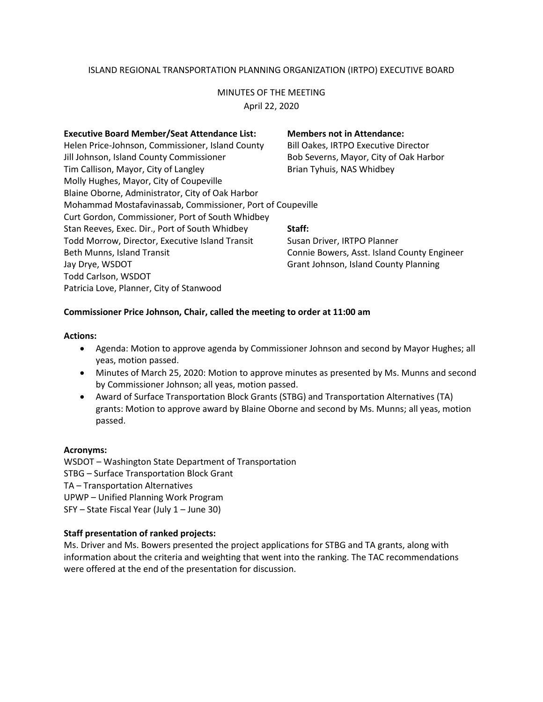# ISLAND REGIONAL TRANSPORTATION PLANNING ORGANIZATION (IRTPO) EXECUTIVE BOARD

## MINUTES OF THE MEETING

April 22, 2020

| <b>Executive Board Member/Seat Attendance List:</b>        | <b>Members not in Attendance:</b>           |
|------------------------------------------------------------|---------------------------------------------|
| Helen Price-Johnson, Commissioner, Island County           | <b>Bill Oakes, IRTPO Executive Director</b> |
| Jill Johnson, Island County Commissioner                   | Bob Severns, Mayor, City of Oak Harbor      |
| Tim Callison, Mayor, City of Langley                       | Brian Tyhuis, NAS Whidbey                   |
| Molly Hughes, Mayor, City of Coupeville                    |                                             |
| Blaine Oborne, Administrator, City of Oak Harbor           |                                             |
| Mohammad Mostafavinassab, Commissioner, Port of Coupeville |                                             |
| Curt Gordon, Commissioner, Port of South Whidbey           |                                             |
| Stan Reeves, Exec. Dir., Port of South Whidbey             | Staff:                                      |
| Todd Morrow, Director, Executive Island Transit            | Susan Driver, IRTPO Planner                 |
| Beth Munns, Island Transit                                 | Connie Bowers, Asst. Island County Engineer |
| Jay Drye, WSDOT                                            | Grant Johnson, Island County Planning       |
| <b>Todd Carlson, WSDOT</b>                                 |                                             |
| Patricia Love, Planner, City of Stanwood                   |                                             |
|                                                            |                                             |

## **Commissioner Price Johnson, Chair, called the meeting to order at 11:00 am**

#### **Actions:**

- Agenda: Motion to approve agenda by Commissioner Johnson and second by Mayor Hughes; all yeas, motion passed.
- Minutes of March 25, 2020: Motion to approve minutes as presented by Ms. Munns and second by Commissioner Johnson; all yeas, motion passed.
- Award of Surface Transportation Block Grants (STBG) and Transportation Alternatives (TA) grants: Motion to approve award by Blaine Oborne and second by Ms. Munns; all yeas, motion passed.

## **Acronyms:**

WSDOT – Washington State Department of Transportation STBG – Surface Transportation Block Grant TA – Transportation Alternatives UPWP – Unified Planning Work Program SFY – State Fiscal Year (July 1 – June 30)

## **Staff presentation of ranked projects:**

Ms. Driver and Ms. Bowers presented the project applications for STBG and TA grants, along with information about the criteria and weighting that went into the ranking. The TAC recommendations were offered at the end of the presentation for discussion.